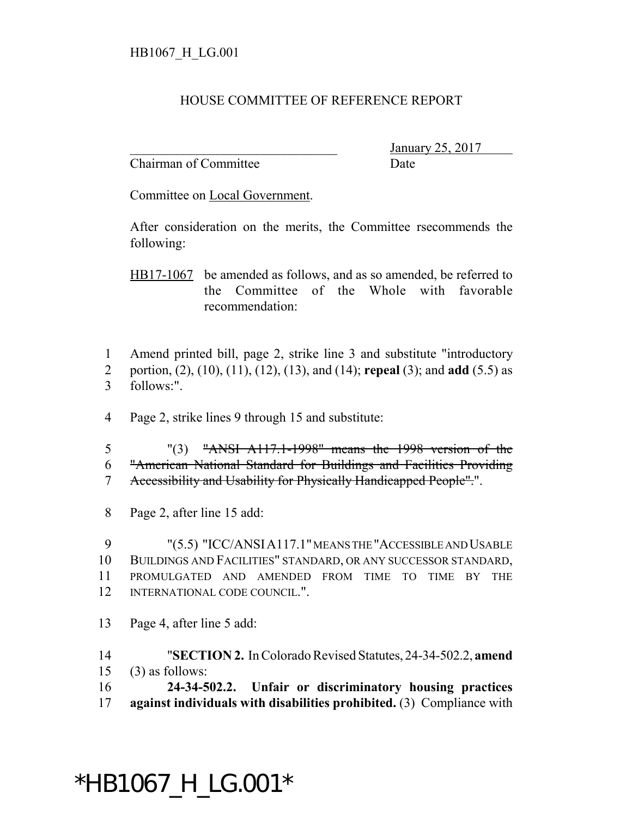## HOUSE COMMITTEE OF REFERENCE REPORT

Chairman of Committee Date

\_\_\_\_\_\_\_\_\_\_\_\_\_\_\_\_\_\_\_\_\_\_\_\_\_\_\_\_\_\_\_ January 25, 2017

Committee on Local Government.

After consideration on the merits, the Committee rsecommends the following:

HB17-1067 be amended as follows, and as so amended, be referred to the Committee of the Whole with favorable recommendation:

 Amend printed bill, page 2, strike line 3 and substitute "introductory portion, (2), (10), (11), (12), (13), and (14); **repeal** (3); and **add** (5.5) as follows:".

Page 2, strike lines 9 through 15 and substitute:

 "(3) "ANSI A117.1-1998" means the 1998 version of the "American National Standard for Buildings and Facilities Providing Accessibility and Usability for Physically Handicapped People".".

Page 2, after line 15 add:

 "(5.5) "ICC/ANSIA117.1" MEANS THE "ACCESSIBLE AND USABLE BUILDINGS AND FACILITIES" STANDARD, OR ANY SUCCESSOR STANDARD, PROMULGATED AND AMENDED FROM TIME TO TIME BY THE INTERNATIONAL CODE COUNCIL.".

Page 4, after line 5 add:

 "**SECTION 2.** In Colorado Revised Statutes, 24-34-502.2, **amend** (3) as follows:

 **24-34-502.2. Unfair or discriminatory housing practices against individuals with disabilities prohibited.** (3) Compliance with

## \*HB1067\_H\_LG.001\*